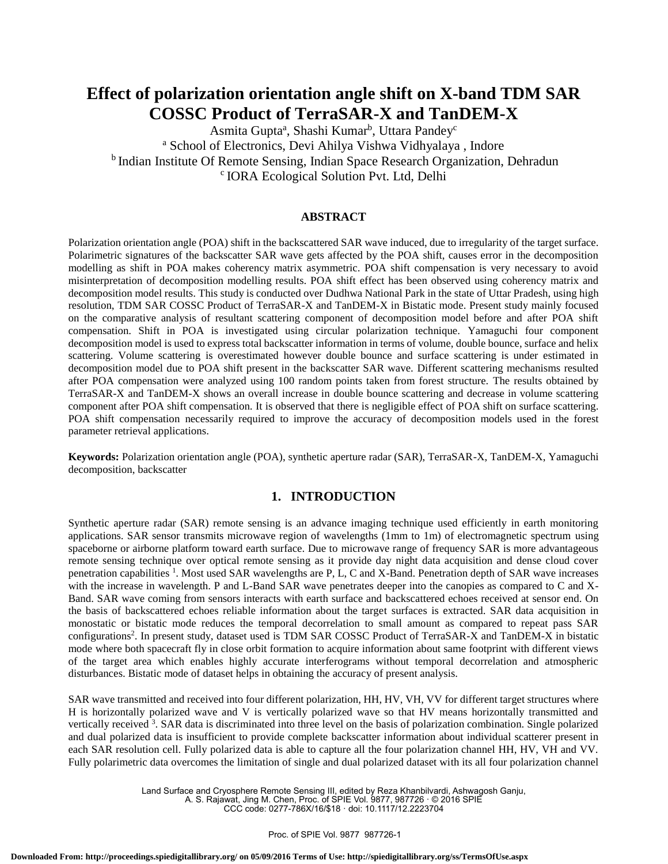# **Effect of polarization orientation angle shift on X-band TDM SAR COSSC Product of TerraSAR-X and TanDEM-X**

Asmita Gupta<sup>a</sup>, Shashi Kumar<sup>b</sup>, Uttara Pandey<sup>c</sup> <sup>a</sup> School of Electronics, Devi Ahilya Vishwa Vidhyalaya , Indore <sup>b</sup> Indian Institute Of Remote Sensing, Indian Space Research Organization, Dehradun <sup>c</sup> IORA Ecological Solution Pvt. Ltd, Delhi

## **ABSTRACT**

Polarization orientation angle (POA) shift in the backscattered SAR wave induced, due to irregularity of the target surface. Polarimetric signatures of the backscatter SAR wave gets affected by the POA shift, causes error in the decomposition modelling as shift in POA makes coherency matrix asymmetric. POA shift compensation is very necessary to avoid misinterpretation of decomposition modelling results. POA shift effect has been observed using coherency matrix and decomposition model results. This study is conducted over Dudhwa National Park in the state of Uttar Pradesh, using high resolution, TDM SAR COSSC Product of TerraSAR-X and TanDEM-X in Bistatic mode. Present study mainly focused on the comparative analysis of resultant scattering component of decomposition model before and after POA shift compensation. Shift in POA is investigated using circular polarization technique. Yamaguchi four component decomposition model is used to express total backscatter information in terms of volume, double bounce, surface and helix scattering. Volume scattering is overestimated however double bounce and surface scattering is under estimated in decomposition model due to POA shift present in the backscatter SAR wave. Different scattering mechanisms resulted after POA compensation were analyzed using 100 random points taken from forest structure. The results obtained by TerraSAR-X and TanDEM-X shows an overall increase in double bounce scattering and decrease in volume scattering component after POA shift compensation. It is observed that there is negligible effect of POA shift on surface scattering. POA shift compensation necessarily required to improve the accuracy of decomposition models used in the forest parameter retrieval applications.

**Keywords:** Polarization orientation angle (POA), synthetic aperture radar (SAR), TerraSAR-X, TanDEM-X, Yamaguchi decomposition, backscatter

# **1. INTRODUCTION**

Synthetic aperture radar (SAR) remote sensing is an advance imaging technique used efficiently in earth monitoring applications. SAR sensor transmits microwave region of wavelengths (1mm to 1m) of electromagnetic spectrum using spaceborne or airborne platform toward earth surface. Due to microwave range of frequency SAR is more advantageous remote sensing technique over optical remote sensing as it provide day night data acquisition and dense cloud cover penetration capabilities <sup>1</sup>. Most used SAR wavelengths are P, L, C and X-Band. Penetration depth of SAR wave increases with the increase in wavelength. P and L-Band SAR wave penetrates deeper into the canopies as compared to C and X-Band. SAR wave coming from sensors interacts with earth surface and backscattered echoes received at sensor end. On the basis of backscattered echoes reliable information about the target surfaces is extracted. SAR data acquisition in monostatic or bistatic mode reduces the temporal decorrelation to small amount as compared to repeat pass SAR configurations<sup>2</sup>. In present study, dataset used is TDM SAR COSSC Product of TerraSAR-X and TanDEM-X in bistatic mode where both spacecraft fly in close orbit formation to acquire information about same footprint with different views of the target area which enables highly accurate interferograms without temporal decorrelation and atmospheric disturbances. Bistatic mode of dataset helps in obtaining the accuracy of present analysis.

SAR wave transmitted and received into four different polarization, HH, HV, VH, VV for different target structures where H is horizontally polarized wave and V is vertically polarized wave so that HV means horizontally transmitted and vertically received <sup>3</sup>. SAR data is discriminated into three level on the basis of polarization combination. Single polarized and dual polarized data is insufficient to provide complete backscatter information about individual scatterer present in each SAR resolution cell. Fully polarized data is able to capture all the four polarization channel HH, HV, VH and VV. Fully polarimetric data overcomes the limitation of single and dual polarized dataset with its all four polarization channel

> Land Surface and Cryosphere Remote Sensing III, edited by Reza Khanbilvardi, Ashwagosh Ganju, A. S. Rajawat, Jing M. Chen, Proc. of SPIE Vol. 9877, 987726 · © 2016 SPIE

CCC code: 0277-786X/16/\$18 · doi: 10.1117/12.2223704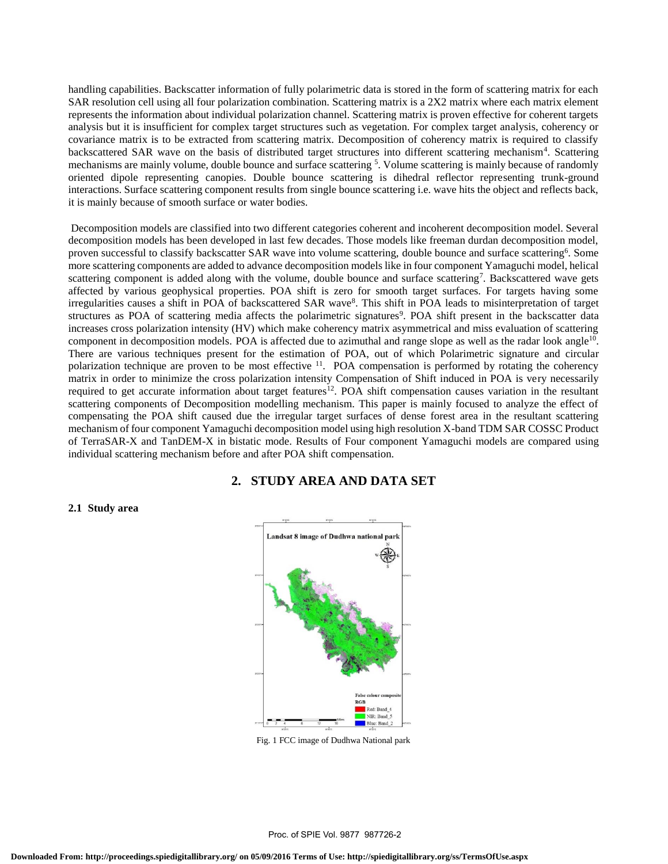handling capabilities. Backscatter information of fully polarimetric data is stored in the form of scattering matrix for each SAR resolution cell using all four polarization combination. Scattering matrix is a 2X2 matrix where each matrix element represents the information about individual polarization channel. Scattering matrix is proven effective for coherent targets analysis but it is insufficient for complex target structures such as vegetation. For complex target analysis, coherency or covariance matrix is to be extracted from scattering matrix. Decomposition of coherency matrix is required to classify backscattered SAR wave on the basis of distributed target structures into different scattering mechanism<sup>4</sup>. Scattering mechanisms are mainly volume, double bounce and surface scattering  $5$ . Volume scattering is mainly because of randomly oriented dipole representing canopies. Double bounce scattering is dihedral reflector representing trunk-ground interactions. Surface scattering component results from single bounce scattering i.e. wave hits the object and reflects back, it is mainly because of smooth surface or water bodies.

Decomposition models are classified into two different categories coherent and incoherent decomposition model. Several decomposition models has been developed in last few decades. Those models like freeman durdan decomposition model, proven successful to classify backscatter SAR wave into volume scattering, double bounce and surface scattering<sup>6</sup>. Some more scattering components are added to advance decomposition models like in four component Yamaguchi model, helical scattering component is added along with the volume, double bounce and surface scattering<sup>7</sup>. Backscattered wave gets affected by various geophysical properties. POA shift is zero for smooth target surfaces. For targets having some irregularities causes a shift in POA of backscattered SAR wave<sup>8</sup>. This shift in POA leads to misinterpretation of target structures as POA of scattering media affects the polarimetric signatures<sup>9</sup>. POA shift present in the backscatter data increases cross polarization intensity (HV) which make coherency matrix asymmetrical and miss evaluation of scattering component in decomposition models. POA is affected due to azimuthal and range slope as well as the radar look angle<sup>10</sup>. There are various techniques present for the estimation of POA, out of which Polarimetric signature and circular polarization technique are proven to be most effective <sup>11</sup>. POA compensation is performed by rotating the coherency matrix in order to minimize the cross polarization intensity Compensation of Shift induced in POA is very necessarily required to get accurate information about target features<sup>12</sup>. POA shift compensation causes variation in the resultant scattering components of Decomposition modelling mechanism. This paper is mainly focused to analyze the effect of compensating the POA shift caused due the irregular target surfaces of dense forest area in the resultant scattering mechanism of four component Yamaguchi decomposition model using high resolution X-band TDM SAR COSSC Product of TerraSAR-X and TanDEM-X in bistatic mode. Results of Four component Yamaguchi models are compared using individual scattering mechanism before and after POA shift compensation.

# **2. STUDY AREA AND DATA SET**

#### **2.1 Study area**



Fig. 1 FCC image of Dudhwa National park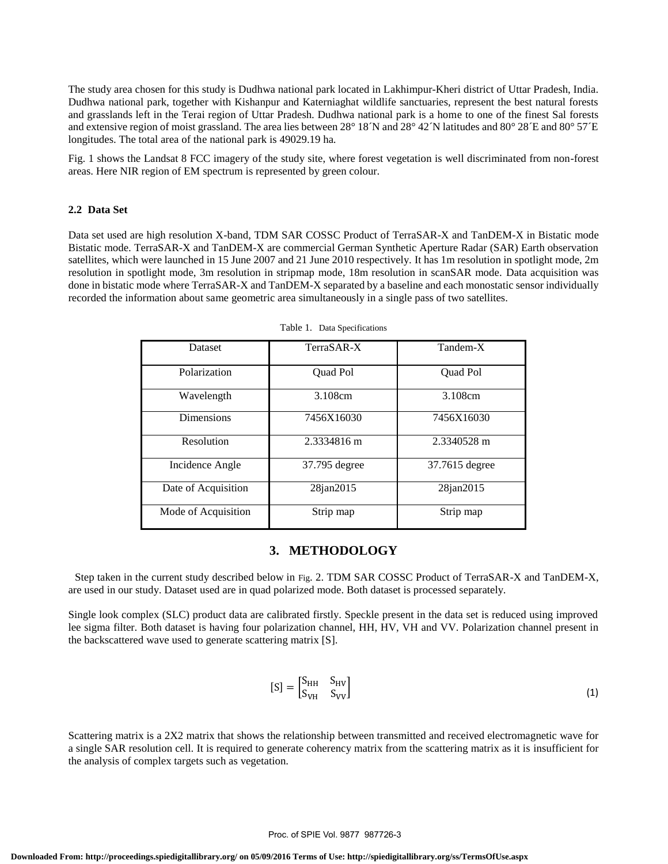The study area chosen for this study is Dudhwa national park located in Lakhimpur-Kheri district of Uttar Pradesh, India. Dudhwa national park, together with Kishanpur and Katerniaghat wildlife sanctuaries, represent the best natural forests and grasslands left in the Terai region of Uttar Pradesh. Dudhwa national park is a home to one of the finest Sal forests and extensive region of moist grassland. The area lies between 28° 18<sup> $\gamma$ </sup> and 28° 42<sup> $\gamma$ </sup> latitudes and 80° 28 $\degree$ E and 80° 57 $\degree$ E longitudes. The total area of the national park is 49029.19 ha.

Fig. 1 shows the Landsat 8 FCC imagery of the study site, where forest vegetation is well discriminated from non-forest areas. Here NIR region of EM spectrum is represented by green colour.

#### **2.2 Data Set**

Data set used are high resolution X-band, TDM SAR COSSC Product of TerraSAR-X and TanDEM-X in Bistatic mode Bistatic mode. TerraSAR-X and TanDEM-X are commercial German Synthetic Aperture Radar (SAR) Earth observation satellites, which were launched in 15 June 2007 and 21 June 2010 respectively. It has 1m resolution in spotlight mode, 2m resolution in spotlight mode, 3m resolution in stripmap mode, 18m resolution in scanSAR mode. Data acquisition was done in bistatic mode where TerraSAR-X and TanDEM-X separated by a baseline and each monostatic sensor individually recorded the information about same geometric area simultaneously in a single pass of two satellites.

| <b>Dataset</b>      | TerraSAR-X      | Tandem-X        |  |  |
|---------------------|-----------------|-----------------|--|--|
| Polarization        | <b>Ouad Pol</b> | <b>Ouad Pol</b> |  |  |
| Wavelength          | 3.108cm         | 3.108cm         |  |  |
| <b>Dimensions</b>   | 7456X16030      | 7456X16030      |  |  |
| Resolution          | 2.3334816 m     | 2.3340528 m     |  |  |
| Incidence Angle     | 37.795 degree   | 37.7615 degree  |  |  |
| Date of Acquisition | 28jan2015       | 28jan2015       |  |  |
| Mode of Acquisition | Strip map       | Strip map       |  |  |

Table 1. Data Specifications

### **3. METHODOLOGY**

 Step taken in the current study described below in Fig. 2. TDM SAR COSSC Product of TerraSAR-X and TanDEM-X, are used in our study. Dataset used are in quad polarized mode. Both dataset is processed separately.

Single look complex (SLC) product data are calibrated firstly. Speckle present in the data set is reduced using improved lee sigma filter. Both dataset is having four polarization channel, HH, HV, VH and VV. Polarization channel present in the backscattered wave used to generate scattering matrix [S].

$$
[S] = \begin{bmatrix} S_{HH} & S_{HV} \\ S_{VH} & S_{VV} \end{bmatrix} \tag{1}
$$

Scattering matrix is a 2X2 matrix that shows the relationship between transmitted and received electromagnetic wave for a single SAR resolution cell. It is required to generate coherency matrix from the scattering matrix as it is insufficient for the analysis of complex targets such as vegetation.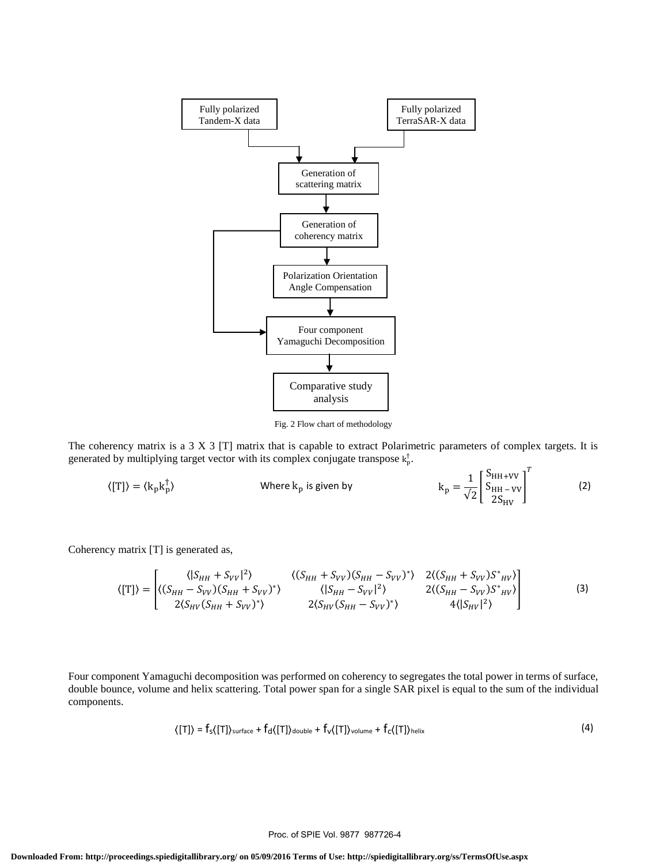

Fig. 2 Flow chart of methodology

The coherency matrix is a 3 X 3 [T] matrix that is capable to extract Polarimetric parameters of complex targets. It is generated by multiplying target vector with its complex conjugate transpose  $k_p^{\dagger}$ .

$$
\langle \text{[T]}\rangle = \langle k_p k_p^{\dagger}\rangle \qquad \qquad \text{Where } k_p \text{ is given by} \qquad \qquad k_p = \frac{1}{\sqrt{2}} \begin{bmatrix} S_{HH+VV} \\ S_{HH-VV} \\ 2S_{HV} \end{bmatrix}^T \qquad (2)
$$

Coherency matrix [T] is generated as,

$$
\langle [T] \rangle = \begin{bmatrix} \langle |S_{HH} + S_{VV}|^2 \rangle & \langle (S_{HH} + S_{VV})(S_{HH} - S_{VV})^* \rangle & 2 \langle (S_{HH} + S_{VV}) S^*_{HV} \rangle \\ \langle (S_{HH} - S_{VV})(S_{HH} + S_{VV})^* \rangle & \langle |S_{HH} - S_{VV}|^2 \rangle & 2 \langle (S_{HH} - S_{VV}) S^*_{HV} \rangle \\ 2 \langle S_{HV}(S_{HH} + S_{VV})^* \rangle & 2 \langle S_{HV}(S_{HH} - S_{VV})^* \rangle & 4 \langle |S_{HV}|^2 \rangle \end{bmatrix}
$$
(3)

Four component Yamaguchi decomposition was performed on coherency to segregates the total power in terms of surface, double bounce, volume and helix scattering. Total power span for a single SAR pixel is equal to the sum of the individual components.

$$
\langle [T] \rangle = f_{s}([T])_{\text{surface}} + f_{d}([T])_{\text{double}} + f_{v}([T])_{\text{volume}} + f_{c}([T])_{\text{helix}}
$$
 (4)

#### Proc. of SPIE Vol. 9877 987726-4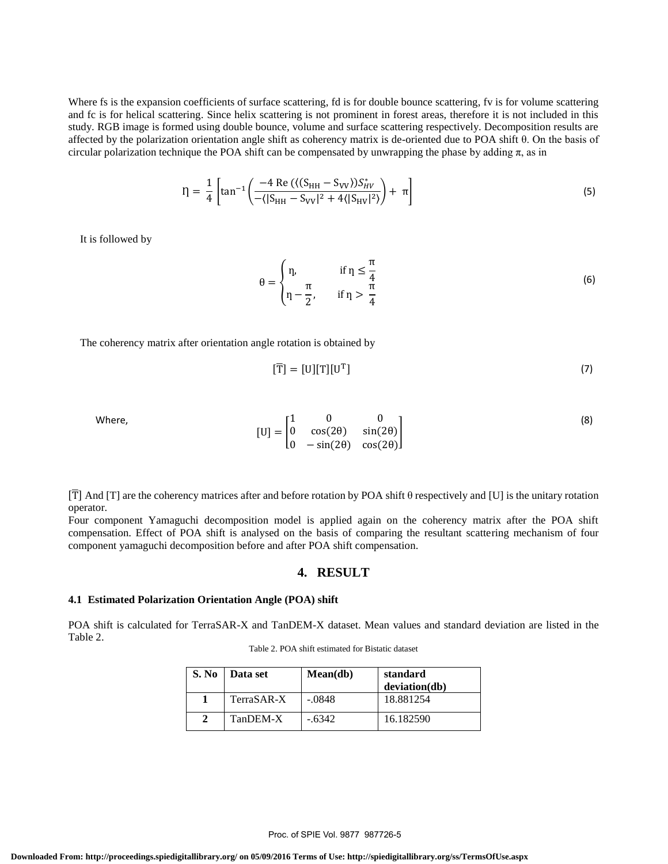Where fs is the expansion coefficients of surface scattering, fd is for double bounce scattering, fv is for volume scattering and fc is for helical scattering. Since helix scattering is not prominent in forest areas, therefore it is not included in this study. RGB image is formed using double bounce, volume and surface scattering respectively. Decomposition results are affected by the polarization orientation angle shift as coherency matrix is de-oriented due to POA shift θ. On the basis of circular polarization technique the POA shift can be compensated by unwrapping the phase by adding  $\pi$ , as in

$$
\eta = \frac{1}{4} \left[ \tan^{-1} \left( \frac{-4 \text{ Re } (\langle (S_{HH} - S_{VV}) S_{HV}^* \rangle}{-(|S_{HH} - S_{VV}|^2 + 4(|S_{HV}|^2)} \right) + \pi \right] \tag{5}
$$

It is followed by

$$
\theta = \begin{cases} \eta, & \text{if } \eta \le \frac{\pi}{4} \\ \eta - \frac{\pi}{2}, & \text{if } \eta > \frac{\pi}{4} \end{cases} \tag{6}
$$

The coherency matrix after orientation angle rotation is obtained by

$$
[\overline{T}] = [U][T][U^T]
$$
\n(7)

Where,  $[U] = |$ 1 0 0 0 cos(2θ) sin(2θ) 0 −sin(2θ) cos(2θ) ] (8)

[T] And [T] are the coherency matrices after and before rotation by POA shift  $\theta$  respectively and [U] is the unitary rotation operator.

Four component Yamaguchi decomposition model is applied again on the coherency matrix after the POA shift compensation. Effect of POA shift is analysed on the basis of comparing the resultant scattering mechanism of four component yamaguchi decomposition before and after POA shift compensation.

#### **4. RESULT**

# **4.1 Estimated Polarization Orientation Angle (POA) shift**

POA shift is calculated for TerraSAR-X and TanDEM-X dataset. Mean values and standard deviation are listed in the Table 2.

| Table 2. POA shift estimated for Bistatic dataset |
|---------------------------------------------------|
|---------------------------------------------------|

| S. No | Data set   | Mean(db) | standard<br>deviation(db) |
|-------|------------|----------|---------------------------|
|       | TerraSAR-X | -.0848   | 18.881254                 |
|       | TanDEM-X   | $-.6342$ | 16.182590                 |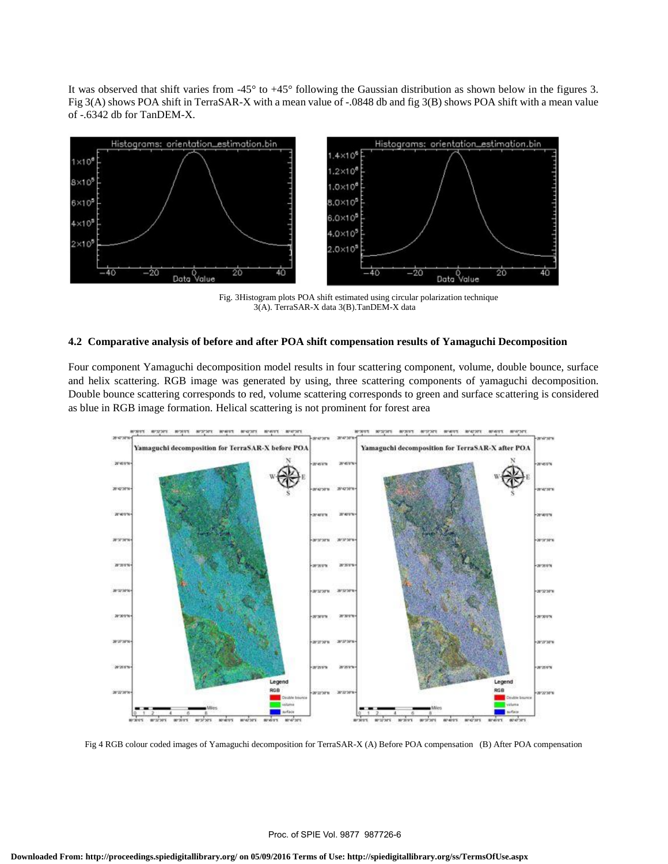It was observed that shift varies from -45° to +45° following the Gaussian distribution as shown below in the figures 3. Fig 3(A) shows POA shift in TerraSAR-X with a mean value of -.0848 db and fig 3(B) shows POA shift with a mean value of -.6342 db for TanDEM-X.



 Fig. 3Histogram plots POA shift estimated using circular polarization technique 3(A). TerraSAR-X data 3(B).TanDEM-X data

## **4.2 Comparative analysis of before and after POA shift compensation results of Yamaguchi Decomposition**

Four component Yamaguchi decomposition model results in four scattering component, volume, double bounce, surface and helix scattering. RGB image was generated by using, three scattering components of yamaguchi decomposition. Double bounce scattering corresponds to red, volume scattering corresponds to green and surface scattering is considered as blue in RGB image formation. Helical scattering is not prominent for forest area



Fig 4 RGB colour coded images of Yamaguchi decomposition for TerraSAR-X (A) Before POA compensation (B) After POA compensation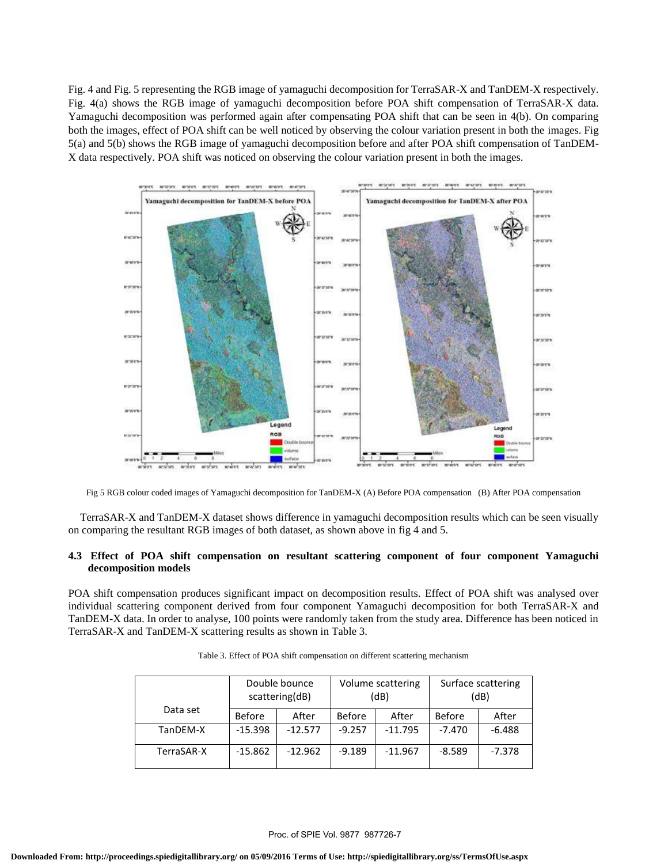Fig. 4 and Fig. 5 representing the RGB image of yamaguchi decomposition for TerraSAR-X and TanDEM-X respectively. Fig. 4(a) shows the RGB image of yamaguchi decomposition before POA shift compensation of TerraSAR-X data. Yamaguchi decomposition was performed again after compensating POA shift that can be seen in 4(b). On comparing both the images, effect of POA shift can be well noticed by observing the colour variation present in both the images. Fig 5(a) and 5(b) shows the RGB image of yamaguchi decomposition before and after POA shift compensation of TanDEM-X data respectively. POA shift was noticed on observing the colour variation present in both the images.



Fig 5 RGB colour coded images of Yamaguchi decomposition for TanDEM-X (A) Before POA compensation (B) After POA compensation

TerraSAR-X and TanDEM-X dataset shows difference in yamaguchi decomposition results which can be seen visually on comparing the resultant RGB images of both dataset, as shown above in fig 4 and 5.

#### **4.3 Effect of POA shift compensation on resultant scattering component of four component Yamaguchi decomposition models**

POA shift compensation produces significant impact on decomposition results. Effect of POA shift was analysed over individual scattering component derived from four component Yamaguchi decomposition for both TerraSAR-X and TanDEM-X data. In order to analyse, 100 points were randomly taken from the study area. Difference has been noticed in TerraSAR-X and TanDEM-X scattering results as shown in Table 3.

|            | Double bounce<br>scattering(dB) |           | Volume scattering<br>(dB) |           | Surface scattering<br>(dB) |          |
|------------|---------------------------------|-----------|---------------------------|-----------|----------------------------|----------|
| Data set   | <b>Before</b>                   | After     | <b>Before</b>             | After     | <b>Before</b>              | After    |
| TanDEM-X   | $-15.398$                       | $-12.577$ | $-9.257$                  | $-11.795$ | $-7.470$                   | $-6.488$ |
| TerraSAR-X | $-15.862$                       | $-12.962$ | $-9.189$                  | $-11.967$ | $-8.589$                   | $-7.378$ |

Table 3. Effect of POA shift compensation on different scattering mechanism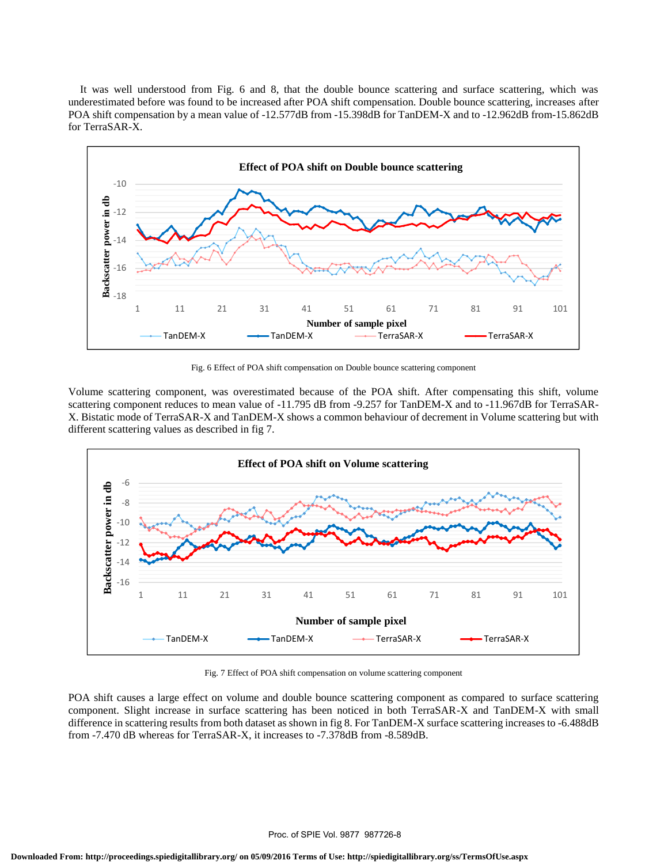It was well understood from Fig. 6 and 8, that the double bounce scattering and surface scattering, which was underestimated before was found to be increased after POA shift compensation. Double bounce scattering, increases after POA shift compensation by a mean value of -12.577dB from -15.398dB for TanDEM-X and to -12.962dB from-15.862dB for TerraSAR-X.



Fig. 6 Effect of POA shift compensation on Double bounce scattering component

Volume scattering component, was overestimated because of the POA shift. After compensating this shift, volume scattering component reduces to mean value of -11.795 dB from -9.257 for TanDEM-X and to -11.967dB for TerraSAR-X. Bistatic mode of TerraSAR-X and TanDEM-X shows a common behaviour of decrement in Volume scattering but with different scattering values as described in fig 7.



Fig. 7 Effect of POA shift compensation on volume scattering component

POA shift causes a large effect on volume and double bounce scattering component as compared to surface scattering component. Slight increase in surface scattering has been noticed in both TerraSAR-X and TanDEM-X with small difference in scattering results from both dataset as shown in fig 8. For TanDEM-X surface scattering increases to -6.488dB from -7.470 dB whereas for TerraSAR-X, it increases to -7.378dB from -8.589dB.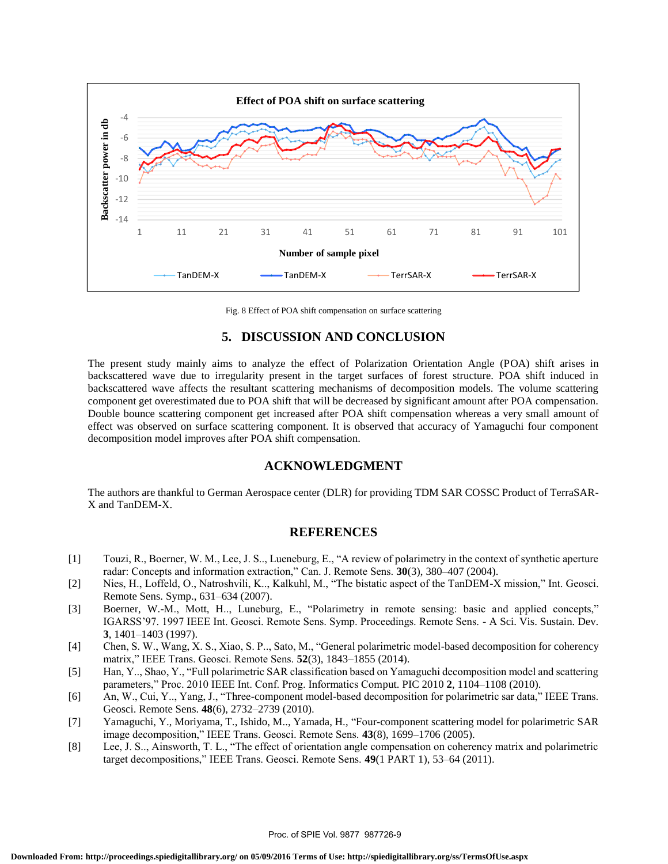

Fig. 8 Effect of POA shift compensation on surface scattering

# **5. DISCUSSION AND CONCLUSION**

The present study mainly aims to analyze the effect of Polarization Orientation Angle (POA) shift arises in backscattered wave due to irregularity present in the target surfaces of forest structure. POA shift induced in backscattered wave affects the resultant scattering mechanisms of decomposition models. The volume scattering component get overestimated due to POA shift that will be decreased by significant amount after POA compensation. Double bounce scattering component get increased after POA shift compensation whereas a very small amount of effect was observed on surface scattering component. It is observed that accuracy of Yamaguchi four component decomposition model improves after POA shift compensation.

# **ACKNOWLEDGMENT**

The authors are thankful to German Aerospace center (DLR) for providing TDM SAR COSSC Product of TerraSAR-X and TanDEM-X.

# **REFERENCES**

- [1] Touzi, R., Boerner, W. M., Lee, J. S.., Lueneburg, E., "A review of polarimetry in the context of synthetic aperture radar: Concepts and information extraction," Can. J. Remote Sens. **30**(3), 380–407 (2004).
- [2] Nies, H., Loffeld, O., Natroshvili, K.., Kalkuhl, M., "The bistatic aspect of the TanDEM-X mission," Int. Geosci. Remote Sens. Symp., 631–634 (2007).
- [3] Boerner, W.-M., Mott, H.., Luneburg, E., "Polarimetry in remote sensing: basic and applied concepts," IGARSS'97. 1997 IEEE Int. Geosci. Remote Sens. Symp. Proceedings. Remote Sens. - A Sci. Vis. Sustain. Dev. **3**, 1401–1403 (1997).
- [4] Chen, S. W., Wang, X. S., Xiao, S. P.., Sato, M., "General polarimetric model-based decomposition for coherency matrix," IEEE Trans. Geosci. Remote Sens. **52**(3), 1843–1855 (2014).
- [5] Han, Y.., Shao, Y., "Full polarimetric SAR classification based on Yamaguchi decomposition model and scattering parameters," Proc. 2010 IEEE Int. Conf. Prog. Informatics Comput. PIC 2010 **2**, 1104–1108 (2010).
- [6] An, W., Cui, Y.., Yang, J., "Three-component model-based decomposition for polarimetric sar data," IEEE Trans. Geosci. Remote Sens. **48**(6), 2732–2739 (2010).
- [7] Yamaguchi, Y., Moriyama, T., Ishido, M.., Yamada, H., "Four-component scattering model for polarimetric SAR image decomposition," IEEE Trans. Geosci. Remote Sens. **43**(8), 1699–1706 (2005).
- [8] Lee, J. S.., Ainsworth, T. L., "The effect of orientation angle compensation on coherency matrix and polarimetric target decompositions," IEEE Trans. Geosci. Remote Sens. **49**(1 PART 1), 53–64 (2011).